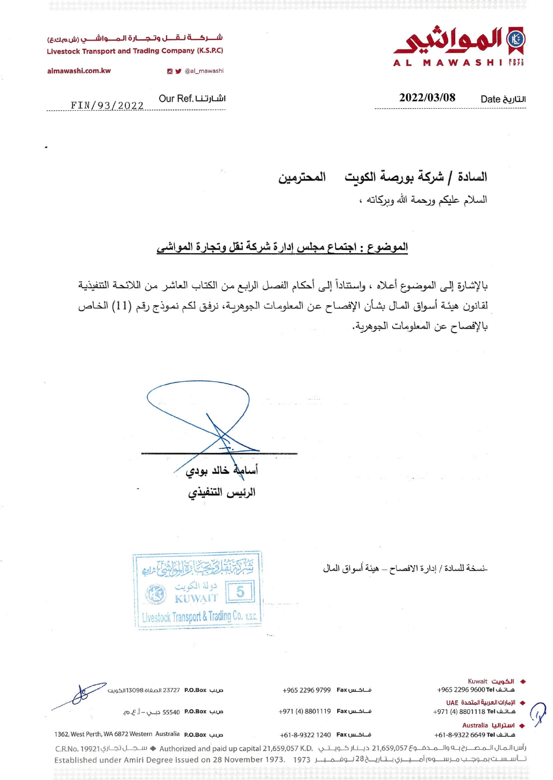

(E..:J.(O.\.fo> ~I~I **oJL-:j)...JQ,J......jLi ~~ Livestock Transport and Trading Company (K.S.P.C)**

**almawashi.com.kw**

FIN/93/2022

 $2022/03/08$  **Date** التاريخ

Our Ref. اشارتنا

O v @al\_mawashi

السادة | شركة بورصة الكويت المحترمين

السلام عليكم ورحمة الله وبركاته ،

الموضوع : اجتماع مجلس إدارة شركة نقل وتجارة المواشى

بالإشارة إلى الموضوع أعلاه ، واستناداً إلى أحكام الفصل الرابع من الكتاب العاشر من اللائحة التنفيذية لقانون هيئة أسواق المال بشأن الإفصـاح عن المعلومـات الجوهريـة، نرفـق لكم نمـوذج رقم (11) الخـاص بالإفصاح عن المعلومات الجوهرية.

أسامهه خالد بودي الرئيس التنفيذي

-نسخة للسادة / إدارة الافصـاح ـــ هيئة أسواق المال



| ♦ الكويت Kuwait<br>هـاتـف 1961 2296 4965 9605                       | فــاكــس Fax +965 2296 9799  | صب <b>P.O.Box</b> 23727 الصفاة 13098 الكويت |  |
|---------------------------------------------------------------------|------------------------------|---------------------------------------------|--|
| ♦    الإمارات العربية المتحدة   UAE<br>هــاتــف 8801118 Tel+971 (4) | فــاكــس B801119 Fax+971 (4) |                                             |  |
| √ ♦ استراليا Australia                                              |                              |                                             |  |

1362, West Perth, WA 6872 Western Australia P.O.Box y.u::> +61-8-9322 1240 Fax u.u.-!>U +61-8-93226649 **Tel** LiLJl...o)

رأس الـمـال الـمـصــرح بــه والــمــدفــو£ 21,659,057 ديــنـار كــويــتـي .Authorized and paid up capital 21,659,057 K.D ♦ سـجــل تجـاري 21,659,057 ديــنـار تـــأســســت بمــوجــب مــرســـــوم أمــــيـــري بــتـاريــــخ 28 نـــوفـــمــ بــــر 1973 . [27] Established under Amiri Degree issued on 28 November 1973. [197